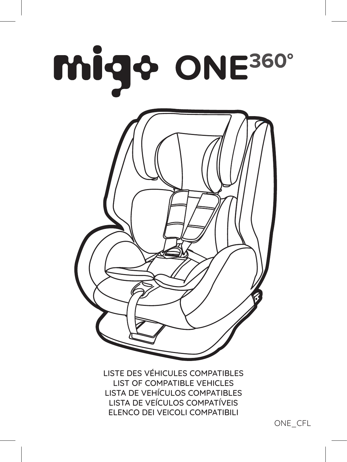



LISTE DES VÉHICULES COMPATIBLES LIST OF COMPATIBLE VEHICLES LISTA DE VEHÍCULOS COMPATIBLES LISTA DE VEÍCULOS COMPATÍVEIS ELENCO DEI VEICOLI COMPATIBILI

ONE\_CFL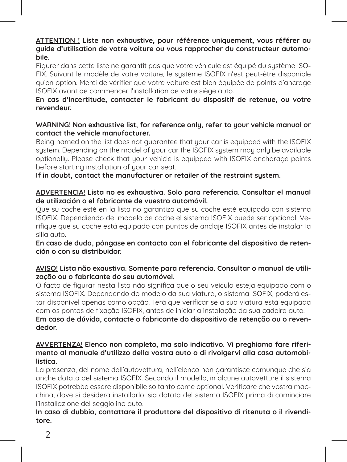**ATTENTION ! Liste non exhaustive, pour référence uniquement, vous référer au guide d'utilisation de votre voiture ou vous rapprocher du constructeur automobile.** 

Figurer dans cette liste ne garantit pas que votre véhicule est équipé du sustème ISO-FIX. Suivant le modèle de votre voiture, le système ISOFIX n'est peut-être disponible qu'en option. Merci de vérifier que votre voiture est bien équipée de points d'ancrage ISOFIX avant de commencer l'installation de votre siège auto.

# **En cas d'incertitude, contacter le fabricant du dispositif de retenue, ou votre revendeur.**

### **WARNING! Non exhaustive list, for reference only, refer to your vehicle manual or contact the vehicle manufacturer.**

Being named on the list does not guarantee that your car is equipped with the ISOFIX system. Depending on the model of your car the ISOFIX system may only be available optionally. Please check that your vehicle is equipped with ISOFIX anchorage points before starting installation of your car seat.

**If in doubt, contact the manufacturer or retailer of the restraint system.** 

#### **ADVERTENCIA! Lista no es exhaustiva. Solo para referencia. Consultar el manual de utilización o el fabricante de vuestro automóvil.**

Que su coche esté en la lista no garantiza que su coche esté equipado con sistema ISOFIX. Dependiendo del modelo de coche el sistema ISOFIX puede ser opcional. Verifique que su coche está equipado con puntos de anclaje ISOFIX antes de instalar la silla auto.

**En caso de duda, póngase en contacto con el fabricante del dispositivo de retención o con su distribuidor.**

### **AVISO! Lista não exaustiva. Somente para referencia. Consultar o manual de utilização ou o fabricante do seu automóvel.**

O facto de figurar nesta lista não significa que o seu veiculo esteja equipado com o sistema ISOFIX. Dependendo do modelo da sua viatura, o sistema ISOFIX, poderá estar disponivel apenas como opção. Terá que verificar se a sua viatura está equipada com os pontos de fixação ISOFIX, antes de iniciar a instalação da sua cadeira auto. **Em caso de dúvida, contacte o fabricante do dispositivo de retenção ou o revendedor.** 

## **AVVERTENZA! Elenco non completo, ma solo indicativo. Vi preghiamo fare riferimento al manuale d'utilizzo della vostra auto o di rivolgervi alla casa automobilistica.**

La presenza, del nome dell'autovettura, nell'elenco non garantisce comunque che sia anche dotata del sistema ISOFIX. Secondo il modello, in alcune autovetture il sistema ISOFIX potrebbe essere disponibile soltanto come optional. Verificare che vostra macchina, dove si desidera installarlo, sia dotata del sistema ISOFIX prima di cominciare l'installazione del seggiolino auto.

# **In caso di dubbio, contattare il produttore del dispositivo di ritenuta o il rivenditore.**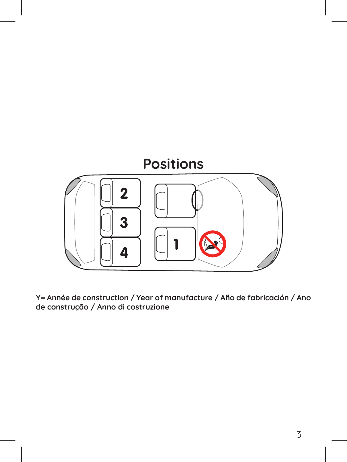

**Y= Année de construction / Year of manufacture / Año de fabricación / Ano de construção / Anno di costruzione**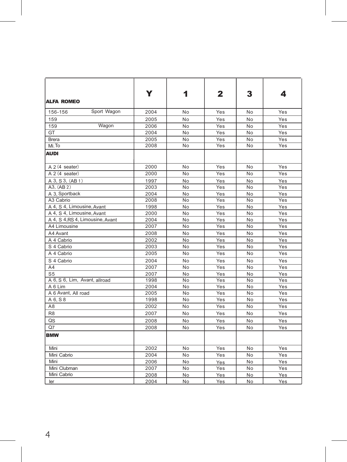|                                  | Y    | 1              | $\mathbf{2}$ | 3               | 4   |
|----------------------------------|------|----------------|--------------|-----------------|-----|
| <b>ALFA ROMEO</b>                |      |                |              |                 |     |
| Sport Wagon<br>156-156           | 2004 | No             | Yes          | No              | Yes |
| 159                              | 2005 | No             | Yes          | No              | Yes |
| Wagon<br>159                     | 2006 | No             | Yes          | No              | Yes |
| GT                               | 2004 | No             | Yes          | No              | Yes |
| Brera                            | 2005 | No             | Yes          | No              | Yes |
| Mi. To                           | 2008 | No             | Yes          | No              | Yes |
| <b>AUDI</b>                      |      |                |              |                 |     |
| A 2 (4 seater)                   | 2000 | No             | Yes          | No              | Yes |
| A 2 (4 seater)                   | 2000 | No             | Yes          | No              | Yes |
| A 3, S 3, (AB 1)                 | 1997 | No             | Yes          | No              | Yes |
| A3. (AB 2)                       | 2003 | No             | Yes          | No              | Yes |
| A 3, Sportback                   | 2004 | No             | Yes          | No              | Yes |
| A3 Cabrio                        | 2008 | No             | Yes          | $\overline{No}$ | Yes |
| A 4, S 4, Limousine, Avant       | 1998 | No             | Yes          | No              | Yes |
| A 4, S 4, Limousine, Avant       | 2000 | No             | Yes          | No              | Yes |
| A 4, S 4, RS 4, Limousine, Avant | 2004 | No             | Yes          | No              | Yes |
| A4 Limousine                     | 2007 | No             | Yes          | No              | Yes |
| A4 Avant                         | 2008 | No             | Yes          | No              | Yes |
| A 4 Cabrio                       | 2002 | No             | Yes          | No              | Yes |
| S 4 Cabrio                       | 2003 | No             | Yes          | No              | Yes |
| A 4 Cabrio                       | 2005 | No             | Yes          | No              | Yes |
| S 4 Cabrio                       | 2004 | No             | Yes          | No              | Yes |
| A4                               | 2007 | No             | Yes          | No              | Yes |
| S5                               | 2007 | No             | Yes          | No              | Yes |
| A 6, S 6, Lim, Avant, allroad    | 1998 | No             | Yes          | No              | Yes |
| A 6 Lim                          | 2004 | No             | Yes          | No              | Yes |
| A 6 Avant, All road              | 2005 | No             | Yes          | No              | Yes |
| A 6, S 8                         | 1998 | No             | Yes          | No              | Yes |
| A8                               | 2002 | No             | Yes          | No              | Yes |
| R <sub>8</sub>                   | 2007 | No             | Yes          | No              | Yes |
| QS                               | 2008 | No             | Yes          | No              | Yes |
| Q7                               | 2008 | N <sub>o</sub> | Yes          | No              | Yes |
| <b>BMW</b>                       |      |                |              |                 |     |
| Mini                             | 2002 | No             | Yes          | No              | Yes |
| Mini Cabrio                      | 2004 | N <sub>o</sub> | Yes          | No              | Yes |
| Mini                             | 2006 | No             | Yes          | No              | Yes |
| Mini Clubman                     | 2007 | No             | Yes          | No              | Yes |
| Mini Cabrio                      | 2008 | No             | Yes          | No              | Yes |
| ler                              | 2004 | No             | Yes          | No              | Yes |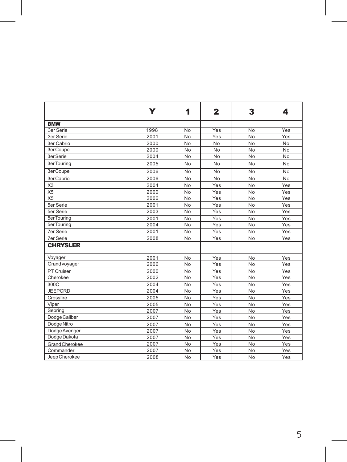|                  | Y    | 1         | 2   | 3              | 4   |
|------------------|------|-----------|-----|----------------|-----|
| <b>BMW</b>       |      |           |     |                |     |
| <b>3er Serie</b> | 1998 | No        | Yes | No             | Yes |
| 3er Serie        | 2001 | No        | Yes | No             | Yes |
| 3er Cabrio       | 2000 | No        | No  | No             | No  |
| 3er Coupe        | 2000 | No        | No  | No             | No  |
| 3er Serie        | 2004 | No        | No  | No             | No  |
| 3er Touring      | 2005 | No        | No  | No             | No  |
| 3er Coupe        | 2006 | No        | No  | No             | No  |
| 3er Cabrio       | 2006 | No        | No  | No             | No  |
| X <sub>3</sub>   | 2004 | No        | Yes | No             | Yes |
| X <sub>5</sub>   | 2000 | No        | Yes | No             | Yes |
| X <sub>5</sub>   | 2006 | No        | Yes | No             | Yes |
| 5er Serie        | 2001 | No        | Yes | No             | Yes |
| 5er Serie        | 2003 | No        | Yes | No             | Yes |
| 5er Touring      | 2001 | No        | Yes | No             | Yes |
| 5er Touring      | 2004 | No        | Yes | No             | Yes |
| <b>7er Serie</b> | 2001 | No        | Yes | No             | Yes |
| <b>7er Serie</b> | 2008 | No        | Yes | No             | Yes |
| <b>CHRYSLER</b>  |      |           |     |                |     |
| Voyager          | 2001 | No        | Yes | No             | Yes |
| Grand voyager    | 2006 | No        | Yes | No             | Yes |
| PT Cruiser       | 2000 | No        | Yes | No             | Yes |
| Cherokee         | 2002 | No        | Yes | No             | Yes |
| 300C             | 2004 | No        | Yes | No             | Yes |
| <b>JEEPCRD</b>   | 2004 | <b>No</b> | Yes | N <sub>o</sub> | Yes |
| Crossfire        | 2005 | No        | Yes | No             | Yes |
| Viper            | 2005 | No        | Yes | No             | Yes |
| Sebring          | 2007 | No        | Yes | No             | Yes |
| Dodge Caliber    | 2007 | No        | Yes | No             | Yes |
| Dodge Nitro      | 2007 | No        | Yes | No             | Yes |
| Dodge Avenger    | 2007 | No        | Yes | No             | Yes |
| Dodge Dakota     | 2007 | No        | Yes | No             | Yes |
| Grand Cherokee   | 2007 | No        | Yes | No             | Yes |
| Commander        | 2007 | No        | Yes | No             | Yes |
| Jeep Cherokee    | 2008 | No        | Yes | No             | Yes |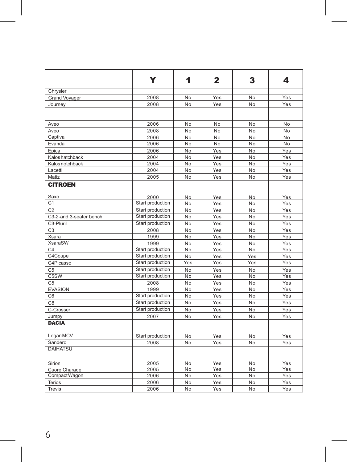|                         | Y                | 1                | $\mathbf{2}$ | 3               | 4   |
|-------------------------|------------------|------------------|--------------|-----------------|-----|
| Chrysler                |                  |                  |              |                 |     |
| <b>Grand Voyager</b>    | 2008             | No               | Yes          | No              | Yes |
| Journey                 | 2008             | No               | Yes          | No              | Yes |
| $\overline{a}$          |                  |                  |              |                 |     |
| Aveo                    | 2006             | No               | No           | <b>No</b>       | No  |
| Aveo                    | 2008             | No               | No           | No              | No  |
| Captiva                 | 2006             | No               | <b>No</b>    | No              | No  |
| Evanda                  | 2006             | No               | No           | No              | No  |
| Epica                   | 2006             | No               | Yes          | No              | Yes |
| Kalos hatchback         | 2004             | No               | Yes          | No              | Yes |
| Kalos notchback         | 2004             | <b>No</b>        | Yes          | No              | Yes |
| Lacetti                 | 2004             | No               | Yes          | No              | Yes |
| Matiz                   | 2005             | No               | Yes          | No              | Yes |
| <b>CITROEN</b>          |                  |                  |              |                 |     |
| Saxo                    | 2000             | N <sub>o</sub>   | Yes          | <b>No</b>       | Yes |
| C <sub>1</sub>          | Start production | No               | Yes          | No              | Yes |
| C <sub>2</sub>          | Start production | No               | Yes          | N <sub>o</sub>  | Yes |
| C3-2-and 3-seater bench | Start production | No               | Yes          | No              | Yes |
| C3-Pluril               | Start production | No               | Yes          | No              | Yes |
| C <sub>3</sub>          | 2008             | No               | Yes          | No              | Yes |
| Xsara                   | 1999             | N <sub>o</sub>   | Yes          | N <sub>o</sub>  | Yes |
| XsaraSW                 | 1999             | No               | Yes          | No              | Yes |
| C4                      | Start production | $\overline{No}$  | Yes          | <b>No</b>       | Yes |
| C4Coupe                 | Start production | No               | Yes          | Yes             | Yes |
| C4Picasso               | Start production | $\overline{Yes}$ | Yes          | Yes             | Yes |
| C <sub>5</sub>          | Start production | No               | Yes          | No              | Yes |
| C <sub>5</sub> SW       | Start production | No               | Yes          | <b>No</b>       | Yes |
| C <sub>5</sub>          | 2008             | No               | Yes          | No              | Yes |
| <b>EVASION</b>          | 1999             | No               | Yes          | No              | Yes |
| C6                      | Start production | $\overline{No}$  | Yes          | No              | Yes |
| C8                      | Start production | No               | Yes          | <b>No</b>       | Yes |
| C-Crosser               | Start production | No               | Yes          | <b>No</b>       | Yes |
| Jumpy                   | 2007             | No               | Yes          | No              | Yes |
| <b>DACIA</b>            |                  |                  |              |                 |     |
| Logan MCV               | Start production | No               | Yes          | No              | Yes |
| Sandero                 | 2008             | No               | Yes          | No              | Yes |
| <b>DAIHATSU</b>         |                  |                  |              |                 |     |
| Sirion                  | 2005             | No               | Yes          | No              | Yes |
| Cuore, Charade          | 2005             | No               | Yes          | No              | Yes |
| Compact Wagon           | 2006             | $\overline{No}$  | Yes          | $\overline{No}$ | Yes |
| Terios                  | 2006             | No               | Yes          | No              | Yes |
| Trevis                  | 2006             | No               | Yes          | <b>No</b>       | Yes |
|                         |                  |                  |              |                 |     |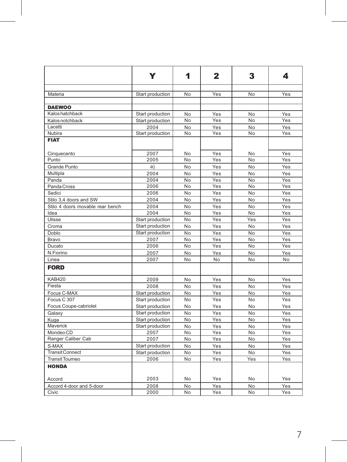|                                  | Y                | 1              | 2   | 3              | 4   |
|----------------------------------|------------------|----------------|-----|----------------|-----|
|                                  |                  |                |     |                |     |
| Materia                          | Start production | No             | Yes | No             | Yes |
|                                  |                  |                |     |                |     |
| <b>DAEWOO</b>                    |                  |                |     |                |     |
| Kalos hatchback                  | Start production | No             | Yes | No             | Yes |
| Kalos notchback                  | Start production | No             | Yes | No             | Yes |
| Lacetti                          | 2004             | No             | Yes | N <sub>o</sub> | Yes |
| Nubira                           | Start production | No             | Yes | No             | Yes |
| <b>FIAT</b>                      |                  |                |     |                |     |
| Cinquecento                      | 2007             | No             | Yes | No             | Yes |
| Punto                            | 2005             | No             | Yes | No             | Yes |
| Grande Punto                     | a                | No             | Yes | No             | Yes |
| Multipla                         | 2004             | No             | Yes | No             | Yes |
| Panda                            | 2004             | No             | Yes | No             | Yes |
| Panda Cross                      | 2006             | No             | Yes | No             | Yes |
| Sedici                           | 2006             | No             | Yes | No             | Yes |
| Stilo 3,4 doors and SW           | 2004             | No             | Yes | No             | Yes |
| Stilo 4 doors movable rear bench | 2004             | No             | Yes | No             | Yes |
| Idea                             | 2004             | No             | Yes | No             | Yes |
| Ulisse                           | Start production | No             | Yes | Yes            | Yes |
| Croma                            | Start production | No             | Yes | No             | Yes |
| Doblo                            | Start production | No             | Yes | No             | Yes |
| Bravo                            | 2007             | No             | Yes | No             | Yes |
| Ducato                           | 2006             | No             | Yes | No             | Yes |
| N.Fiorino                        | 2007             | No             | Yes | No             | Yes |
| Linea                            | 2007             | No             | No  | No             | No  |
| <b>FORD</b>                      |                  |                |     |                |     |
| <b>KAB420</b>                    | 2009             | No             | Yes | N <sub>o</sub> | Yes |
| Fiesta                           | 2008             | No             | Yes | No             | Yes |
| Focus C-MAX                      | Start production | No             | Yes | No             | Yes |
| Focus C 307                      | Start production | N <sub>o</sub> | Yes | No             | Yes |
| Focus Coupe-cabriolet            | Start production | No             | Yes | No             | Yes |
| Galaxy                           | Start production | No             | Yes | N <sub>o</sub> | Yes |
| Kuga                             | Start production | No             | Yes | No             | Yes |
| Maverick                         | Start production | No             | Yes | No             | Yes |
| Mondeo CD                        | 2007             | No             | Yes | No             | Yes |
| Ranger Caliber Cab               | 2007             | No             | Yes | No             | Yes |
| S-MAX                            | Start production | No             | Yes | N <sub>o</sub> | Yes |
| <b>Transit Connect</b>           | Start production | No             | Yes | N <sub>o</sub> | Yes |
| Transit Toumeo                   | 2006             | No             | Yes | Yes            | Yes |
| <b>HONDA</b>                     |                  |                |     |                |     |
| Accord                           | 2003             | No             | Yes | No             | Yes |
| Accord 4-door and 5-door         | 2008             | No             | Yes | No             | Yes |
| Civic                            | 2000             | No             | Yes | No             | Yes |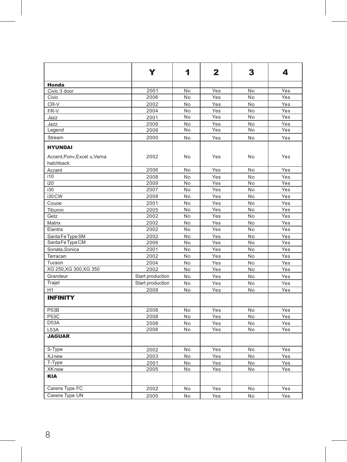|                                           | Y                | 1              | $\mathbf{2}$ | 3              | 4   |
|-------------------------------------------|------------------|----------------|--------------|----------------|-----|
| Honda                                     |                  |                |              |                |     |
| Civic 3 door                              | 2001             | No             | Yes          | No             | Yes |
| Civic                                     | 2006             | No             | Yes          | No             | Yes |
| CR-V                                      | 2002             | No             | Yes          | No             | Yes |
| FR-V                                      | 2004             | No             | Yes          | No             | Yes |
| Jazz                                      | 2001             | No             | Yes          | No             | Yes |
| Jazz                                      | 2008             | No             | Yes          | No             | Yes |
| Legend                                    | 2006             | No             | Yes          | No             | Yes |
| Stream                                    | 2000             | No             | Yes          | No             | Yes |
| <b>HYUNDAI</b>                            |                  |                |              |                |     |
| Accent, Ponv, Excel u, Verna<br>hatchback | 2002             | No             | Yes          | No             | Yes |
| Accent                                    | 2006             | No             | Yes          | No             | Yes |
| i10                                       | 2008             | No             | Yes          | No             | Yes |
| i20                                       | 2009             | No             | Yes          | No             | Yes |
| i30                                       | 2007             | No             | Yes          | No             | Yes |
| i30 CW                                    | 2008             | No             | Yes          | No             | Yes |
| Couoe                                     | 2001             | No             | Yes          | No             | Yes |
| Tiburon                                   | 2005             | No             | Yes          | No             | Yes |
| Getz                                      | 2002             | No             | Yes          | No             | Yes |
| Matrix                                    | 2002             | No             | Yes          | No             | Yes |
| Elantra                                   | 2002             | No             | Yes          | No             | Yes |
| Santa Fe Type SM                          | 2002             | No             | Yes          | No             | Yes |
| Santa Fe Type CM                          | 2006             | No             | Yes          | No             | Yes |
| Sonata, Sonica                            | 2001             | No             | Yes          | No             | Yes |
| Terracan                                  | 2002             | No             | Yes          | No             | Yes |
| Tucson                                    | 2004             | No             | Yes          | No             | Yes |
| XG 250, XG 300, XG 350                    | 2002             | No             | Yes          | No             | Yes |
| Grandeur                                  | Start production | N <sub>o</sub> | Yes          | N <sub>0</sub> | Yes |
| Trajet                                    | Start production | No             | Yes          | No             | Yes |
| H <sub>1</sub>                            | 2008             | No             | Yes          | No             | Yes |
| <b>INFINITY</b>                           |                  |                |              |                |     |
| P <sub>53</sub> B                         | 2008             | No             | Yes          | No             | Yes |
| <b>P53C</b>                               | 2008             | No             | Yes          | No             | Yes |
| D53A                                      | 2008             | No             | Yes          | No             | Yes |
| L53A                                      | 2008             | No             | Yes          | No             | Yes |
| <b>JAGUAR</b>                             |                  |                |              |                |     |
| S-Type                                    | 2002             | No             | Yes          | No             | Yes |
| XJnew                                     | 2003             | No             | Yes          | No             | Yes |
| T-Type                                    | 2001             | No             | Yes          | No             | Yes |
| <b>XKnew</b>                              | 2005             | No             | Yes          | No             | Yes |
| <b>KIA</b>                                |                  |                |              |                |     |
| Carens Type FC                            | 2002             | No             | Yes          | No             | Yes |
| Carens Type UN                            | 2005             | No             | Yes          | No             | Yes |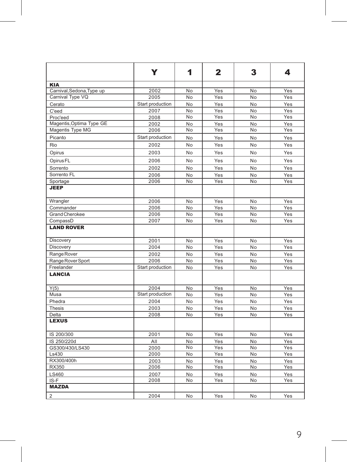|                           | Y                | 1  | $\mathbf{2}$ | 3         | 4   |
|---------------------------|------------------|----|--------------|-----------|-----|
| <b>KIA</b>                |                  |    |              |           |     |
| Carnival, Sedona, Type up | 2002             | No | Yes          | No        | Yes |
| Carnival Type VQ          | 2005             | No | Yes          | No        | Yes |
| Cerato                    | Start production | No | Yes          | No        | Yes |
| C'eed                     | 2007             | No | Yes          | No        | Yes |
| Proc'eed                  | 2008             | No | Yes          | No        | Yes |
| Magentis, Optima Type GE  | 2002             | No | Yes          | No        | Yes |
| Magentis Type MG          | 2006             | No | Yes          | No        | Yes |
| Picanto                   | Start production | No | Yes          | No        | Yes |
| Rio                       | 2002             | No | Yes          | No        | Yes |
| Opirus                    | 2003             | No | Yes          | No        | Yes |
| Opirus FL                 | 2006             | No | Yes          | No        | Yes |
| Sorrento                  | 2002             | No | Yes          | No.       | Yes |
| Sorrento FL               | 2006             | No | Yes          | No        | Yes |
| Sportage                  | 2006             | No | Yes          | <b>No</b> | Yes |
| <b>JEEP</b>               |                  |    |              |           |     |
| Wrangler                  | 2006             | No | Yes          | No        | Yes |
| Commander                 | 2006             | No | Yes          | No        | Yes |
| Grand Cherokee            | 2006             | No | Yes          | No        | Yes |
| CompassD                  | 2007             | No | Yes          | No        | Yes |
| <b>LAND ROVER</b>         |                  |    |              |           |     |
| Discovery                 | 2001             | No | Yes          | No        | Yes |
| Discovery                 | 2004             | No | Yes          | No        | Yes |
| Range Rover               | 2002             | No | Yes          | No        | Yes |
| Range Rover Sport         | 2006             | No | Yes          | No        | Yes |
| Freelander                | Start production | No | Yes          | No        | Yes |
| <b>LANCIA</b>             |                  |    |              |           |     |
| Y(5)                      | 2004             | No | Yes          | No        | Yes |
| Musa                      | Start production | No | Yes          | No.       | Yes |
| Phedra                    | 2004             | No | Yes          | No        | Yes |
| Thesis                    | 2003             | No | Yes          | No        | Yes |
| Delta                     | 2008             | No | Yes          | No        | Yes |
| <b>LEXUS</b>              |                  |    |              |           |     |
| IS 200/300                | 2001             | No | Yes          | No        | Yes |
| IS 250/220d               | All              | No | Yes          | No        | Yes |
| GS300/430/LS430           | 2000             | No | Yes          | No        | Yes |
| Ls430                     | 2000             | No | Yes          | No        | Yes |
| RX300/400h                | 2003             | No | Yes          | No        | Yes |
| RX350                     | 2006             | No | Yes          | No        | Yes |
| LS460                     | 2007             | No | Yes          | No        | Yes |
| IS-F                      | 2008             | No | Yes          | No        | Yes |
| <b>MAZDA</b>              |                  |    |              |           |     |
| $\overline{2}$            | 2004             | No | Yes          | No        | Yes |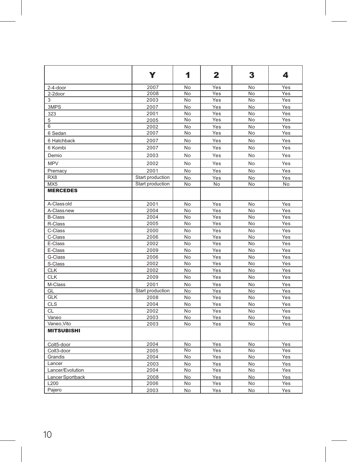|                   | Y                | 1  | $\mathbf{2}$ | 3   | 4   |
|-------------------|------------------|----|--------------|-----|-----|
| 2-4-door          | 2007             | No | Yes          | No  | Yes |
| 2-2door           | 2008             | No | Yes          | No  | Yes |
| 3                 | 2003             | No | Yes          | No  | Yes |
| 3MPS              | 2007             | No | Yes          | No  | Yes |
| 323               | 2001             | No | Yes          | No  | Yes |
| 5                 | 2005             | No | Yes          | No  | Yes |
| 6                 | 2002             | No | Yes          | No  | Yes |
| 6 Sedan           | 2007             | No | Yes          | No  | Yes |
| 6 Hatchback       | 2007             | No | Yes          | No  | Yes |
| 6 Kombi           | 2007             | No | Yes          | No  | Yes |
| Demio             | 2003             | No | Yes          | No  | Yes |
| <b>MPV</b>        | 2002             | No | Yes          | No  | Yes |
| Premacy           | 2001             | No | Yes          | No  | Yes |
| RX <sub>8</sub>   | Start production | No | Yes          | No  | Yes |
| MX5               | Start production | No | No           | No  | No  |
| <b>MERCEDES</b>   |                  |    |              |     |     |
| A-Class old       | 2001             | No | Yes          | No  | Yes |
| A-Class new       | 2004             | No | Yes          | No  | Yes |
| <b>B-Class</b>    | 2004             | No | Yes          | No  | Yes |
| R-Class           | 2005             | No | Yes          | No  | Yes |
| C-Class           | 2000             | No | Yes          | No  | Yes |
| C-Class           | 2006             | No | Yes          | No  | Yes |
| E-Class           | 2002             | No | Yes          | No  | Yes |
| E-Class           | 2009             | No | Yes          | No  | Yes |
| G-Class           | 2006             | No | Yes          | No  | Yes |
| S-Class           | 2002             | No | Yes          | No  | Yes |
| <b>CLK</b>        | 2002             | No | Yes          | No  | Yes |
| <b>CLK</b>        | 2009             | No | Yes          | No  | Yes |
| M-Class           | 2001             | No | Yes          | No  | Yes |
| GL                | Start production | No | Yes          | No  | Yes |
| <b>GLK</b>        | 2008             | No | Yes          | No  | Yes |
| <b>CLS</b>        | 2004             | No | Yes          | No  | Yes |
| <b>CL</b>         | 2002             | No | Yes          | No  | Yes |
| Vaneo             | 2003             | No | Yes          | No  | Yes |
| Vaneo, Vito       | 2003             | No | Yes          | No  | Yes |
| <b>MITSUBISHI</b> |                  |    |              |     |     |
| Colt5-door        | 2004             | No | Yes          | No  | Yes |
| Colt3-door        | 2005             | No | Yes          | No  | Yes |
| Grandis           | 2004             | No | Yes          | No  | Yes |
| Lancer            | 2003             | No | Yes          | No  | Yes |
| Lancer/Evolution  | 2004             | No | Yes          | No  | Yes |
| Lancer Sportback  | 2008             | No | Yes          | No  | Yes |
| L200              | 2006             | No | Yes          | No. | Yes |
| Paiero            | 2003             | No | Yes          | No  | Yes |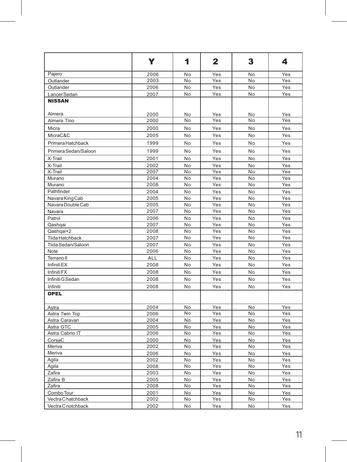|                        | Y            | 1         | $\mathbf{2}$ | 3        | 4            |
|------------------------|--------------|-----------|--------------|----------|--------------|
| Pajero                 | 2006         | No        | Yes          | No       | Yes          |
| Outlander              | 2003         | No        | Yes          | No       | Yes          |
| Outlander              | 2006         | No        | Yes          | No       | Yes          |
| Lancer Sedan           | 2007         | No        | Yes          | No       | Yes          |
| <b>NISSAN</b>          |              |           |              |          |              |
| Almera                 | 2000         | No        | Yes          | No       | Yes          |
| Almera Tino            | 2000         | No        | Yes          | No       | Yes          |
| Micra                  | 2000         | No        | Yes          | No       | Yes          |
| MicraC&C               | 2005         | No        | Yes          | No       | Yes          |
| Primera Hatchback      | 1999         | No        | Yes          | No       | Yes          |
| Primera Sedan/Saloon   | 1999         | No        | Yes          | No       | Yes          |
| X-Trail                | 2001         | No        | Yes          | No       | Yes          |
| X-Trail                | 2002         | No        | Yes          | No       | Yes          |
| X-Trail                | 2007         | No        | Yes          | No       | Yes          |
| Murano                 | 2004         | No        | Yes          | No       | Yes          |
| Murano                 | 2008         | <b>No</b> | Yes          | No       | Yes          |
| Pathfinder             | 2004         | No        | Yes          | No       | Yes          |
| Navara King Cab        | 2005         | No        | Yes          | No       | Yes          |
| Navara Double Cab      | 2005         | No        | .<br>Yes     | No       | Yes          |
| Navara                 | 2007         | No        | Yes          | No       | Yes          |
| Patrol                 | 2006         | No        | Yes          | No       | Yes          |
| Qashqai                | 2007         | No        | Yes          | No       | Yes          |
| Qashqai+2              | 2008         | No        | Yes          | No       | Yes          |
| <b>Tiida Hatchback</b> | 2007         | No        | Yes          | No       | Yes          |
| Tiida Sedan/Saloon     | 2007         | No        | Yes          | No       | Yes          |
| Note                   | 2006         | No        | Yes          | No       | Yes          |
| Terrano II             | <b>ALL</b>   | No        | Yes          | No       | Yes          |
| Infiniti <sub>EX</sub> | 2008         | No        | Yes          | No       | Yes          |
| Infiniti <sub>FX</sub> | 2008         | No        | Yes          | No       | Yes          |
| Infiniti G Sedan       | 2008         | No        | Yes          | No       | Yes          |
| Infiniti               | 2008         | No        | Yes          | No       | Yes          |
| <b>OPEL</b>            |              |           |              |          |              |
| Astra                  | 2004         | No        | Yes          | No       | Yes          |
| Astra Twin Top         | 2006         | No        | Yes          | No       | $\bar{Y}$ es |
| Astra Caravan          | 2004         | No        | Yes          | No       | Yes          |
| Astra GTC              | 2005         | No        | Yes          | No       | Yes          |
| Astra Cabrio IT        | 2006         | No        | Yes          | No       | Yes          |
| CorsaC                 | 2000         | No        | Yes          | No       | Yes          |
| Meriva                 | 2002         | No        | Yes          | No       | Yes          |
| Meriva                 | 2006         | No        | Yes          | No       | Yes          |
| Agila                  | 2002         | No        | Yes          | No       | Yes          |
| Agila                  | 2008         | No        | Yes          | No       | Yes          |
| Zafira                 | 2003         | No        | Yes          | No       | Yes          |
| Zafira B<br>Zafira     | 2005<br>2008 | No<br>No  | Yes<br>Yes   | No<br>No | Yes<br>Yes   |
| Combo Tour             |              | No        |              | No       |              |
| Vectra C hatchback     | 2001<br>2002 | No        | Yes<br>Yes   | No       | Yes<br>Yes   |
| Vectra C notchback     | 2002         | No        | Yes          | No       | Yes          |
|                        |              |           |              |          |              |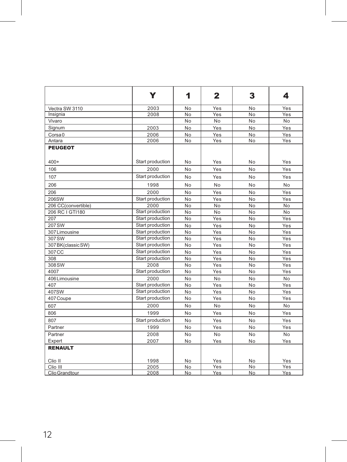|                     | Y                | 1              | $\mathbf{2}$ | 3              | 4              |
|---------------------|------------------|----------------|--------------|----------------|----------------|
| Vectra SW 3110      | 2003             | No             | Yes          | No             | Yes            |
| Insignia            | 2008             | No             | Yes          | <b>No</b>      | Yes            |
| Vivaro              |                  | No             | No           | No             | No.            |
| Signum              | 2003             | No             | Yes          | No             | Yes            |
| Corsa <sub>0</sub>  | 2006             | No             | Yes          | No             | Yes            |
| Antara              | 2006             | No             | Yes          | No             | Yes            |
| <b>PEUGEOT</b>      |                  |                |              |                |                |
| $400+$              | Start production | No             | Yes          | N <sub>o</sub> | Yes            |
| 106                 | 2000             | No             | Yes          | No             | Yes            |
| 107                 | Start production | No             | Yes          | No             | Yes            |
| 206                 | 1998             | No             | No           | N <sub>o</sub> | No.            |
| 206                 | 2000             | No             | Yes          | No             | Yes            |
| 206SW               | Start production | No             | Yes          | No             | Yes            |
| 206 CC(convertible) | 2000             | No             | No           | No             | No             |
| 206 RC I GTI180     | Start production | No             | No           | No             | No             |
| 207                 | Start production | No             | Yes          | No             | Yes            |
| 207 SW              | Start production | No             | Yes          | No             | Yes            |
| 307 Limousine       | Start production | No             | Yes          | <b>No</b>      | Yes            |
| 307 SW              | Start production | No             | Yes          | N <sub>o</sub> | Yes            |
| 307 BK(classic SW)  | Start production | No             | Yes          | No             | Yes            |
| 307 CC              | Start production | No             | Yes          | No             | Yes            |
| 308                 | Start production | No             | Yes          | N <sub>o</sub> | Yes            |
| 308 SW              | 2008             | No             | Yes          | No             | Yes            |
| 4007                | Start production | No             | Yes          | No             | Yes            |
| 406 Limousine       | 2000             | No             | No           | No             | N <sub>o</sub> |
| 407                 | Start production | No             | Yes          | N <sub>o</sub> | Yes            |
| 407SW               | Start production | No             | Yes          | No             | Yes            |
| 407 Coupe           | Start production | No             | Yes          | No             | Yes            |
| 607                 | 2000             | No             | No           | No             | No             |
| 806                 | 1999             | No             | Yes          | No             | Yes            |
| 807                 | Start production | No             | Yes          | No             | Yes            |
| Partner             | 1999             | No             | Yes          | No             | Yes            |
| Partner             | 2008             | No.            | No           | No             | N <sub>o</sub> |
| Expert              | 2007             | No             | Yes          | No             | Yes            |
| <b>RENAULT</b>      |                  |                |              |                |                |
| Clio II             | 1998             | No.            | Yes          | No             | Yes            |
| Clio III            | 2005             | No             | Yes          | No             | Yes            |
| Clio Grandtour      | 2008             | N <sub>o</sub> | Yes.         | No             | Yes.           |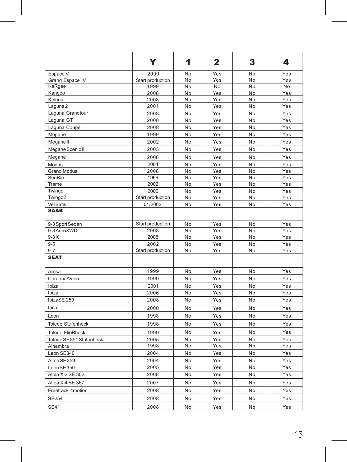|                          | Y                | 1  | $\mathbf{2}$ | 3  | 4              |
|--------------------------|------------------|----|--------------|----|----------------|
| EspacelV                 | 2000             | No | Yes          | No | Yes            |
| Grand Espace IV          | Start production | No | Yes          | No | Yes            |
| KaRgee                   | 1999             | No | <b>No</b>    | No | N <sub>o</sub> |
| Kangoo                   | 2008             | No | Yes          | No | Yes            |
| Koleos                   | 2008             | No | Yes          | No | Yes            |
| Laguna <sub>2</sub>      | 2001             | No | Yes          | No | Yes            |
| Laguna Grandtour         | 2008             | No | Yes          | No | Yes            |
| Laguna GT                | 2008             | No | Yes          | No | Yes            |
| Laguna Coupe             | 2008             | No | Yes          | No | Yes            |
| Megane                   | 1999             | No | Yes          | No | Yes            |
| Megane <sup>II</sup>     | 2002             | No | Yes          | No | Yes            |
| Megane Scenic II         | 2003             | No | Yes          | No | Yes            |
| Megane                   | 2008             | No | Yes          | No | Yes            |
| Modus                    | 2004             | No | Yes          | No | Yes            |
| <b>Grand Modus</b>       | 2008             | No | Yes          | No | Yes            |
| SeeRie                   | 1999             | No | Yes          | No | Yes            |
| Trame                    | 2002             | No | Yes          | No | Yes            |
| Twingo                   | 2002             | No | Yes          | No | Yes            |
| Twingo2                  | Start production | No | Yes          | No | Yes            |
| <b>Vel Satis</b>         | 01/2002          | No | Yes          | No | Yes            |
| <b>SAAB</b>              |                  |    |              |    |                |
| 9-3 Sport Sedan          | Start production | No | Yes          | No | Yes            |
| 9-3 AeroXWD              | 2008             | No | Yes          | No | Yes            |
| $9-3X$                   | 2008             | No | Yes          | No | Yes            |
| $9 - 5$                  | 2002             | No | Yes          | No | Yes            |
| $9 - 7$                  | Start production | No | Yes          | No | Yes            |
| <b>SEAT</b>              |                  |    |              |    |                |
| Arosa                    | 1999             | No | Yes          | No | Yes            |
| Cordoba/Vario            | 1999             | No | Yes          | No | Yes            |
| Ibiza                    | 2001             | No | Yes          | No | Yes            |
| Ibiza                    | 2006             | No | Yes          | No | Yes            |
| IbizaSE 250              | 2008             | No | Yes          | No | Yes            |
| Inca                     | 2000             | No | Yes          | No | Yes            |
| Leon                     | 1998             | No | Yes          | No | Yes            |
| <b>Toledo Stufenheck</b> | 1998             | No | Yes          | No | Yes            |
| <b>Toledo FlieBheck</b>  | 1999             | No | Yes          | No | Yes            |
| Toledo SE 351 Stufenheck | 2005             | No | Yes          | No | Yes            |
| Alhambra                 | 1998             | No | Yes          | No | Yes            |
| Leon SE340               | 2004             | No | Yes          | No | Yes            |
| Altea SE 359             | 2004             | No | Yes          | No | Yes            |
| Leon SE 350              | 2005             | No | Yes          | No | Yes            |
| Altea XI2 SE 352         | 2008             | No | Yes          | No | Yes            |
| Altea XI4 SE 357         | 2007             | No | Yes          | No | Yes            |
| Freetrack 4motion        | 2008             | No | Yes          | No | Yes            |
| <b>SE254</b>             | 2008             | No | Yes          | No | Yes            |
|                          |                  |    |              |    |                |
| <b>SE411</b>             | 2008             | No | Yes          | No | Yes            |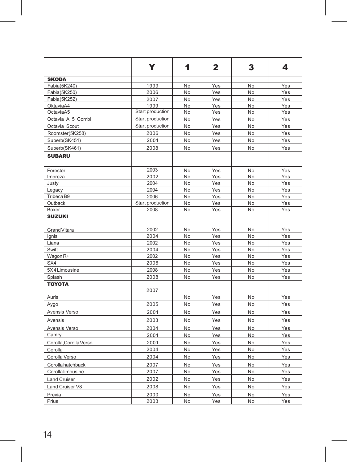|                               | Y                | 1               | $\mathbf{2}$ | 3   | 4   |
|-------------------------------|------------------|-----------------|--------------|-----|-----|
| <b>SKODA</b>                  |                  |                 |              |     |     |
| Fabia(5K240)                  | 1999             | No              | Yes          | No  | Yes |
| Fabia(5K250)                  | 2006             | No              | Yes          | No  | Yes |
| Fabia(5K252)                  | 2007             | No              | Yes          | No  | Yes |
| OktaviaA4                     | 1999             | No              | Yes          | No  | Yes |
| OctaviaA5                     | Start production | No              | Yes          | No  | Yes |
| Octavia A 5 Combi             | Start production | No              | Yes          | No  | Yes |
| Octavia Scout                 | Start production | No              | Yes          | No  | Yes |
| Roomster(5K258)               | 2006             | No              | Yes          | No  | Yes |
| Superb(SK451)                 | 2001             | No              | Yes          | No  | Yes |
| Superb(SK461)                 | 2008             | No              | Yes          | No. | Yes |
| <b>SUBARU</b>                 |                  |                 |              |     |     |
| Forester                      | 2003             | No              | Yes          | No  | Yes |
| Impreza                       | 2002             | $\overline{No}$ | Yes          | No  | Yes |
| Justy                         | 2004             | No              | Yes          | No  | Yes |
| Legacy                        | 2004             | No              | Yes          | No  | Yes |
| Tribeca B9                    | 2006             | No              | Yes          | No  | Yes |
| Outback                       | Start production | No              | Yes          | No  | Yes |
| Boxer                         | 2008             | No              | Yes          | No  | Yes |
| <b>SUZUKI</b><br>Grand Vitara | 2002             | No              | Yes          | No  | Yes |
| Ignis                         | 2004             | No              | Yes          | No  | Yes |
| Liana                         | 2002             | No              | Yes          | No  | Yes |
| Swift                         | 2004             | No              | Yes          | No  | Yes |
| Wagon <sub>R+</sub>           | 2002             | No              | Yes          | No  | Yes |
| SX4                           | 2006             | No              | Yes          | No  | Yes |
| 5X4 Limousine                 | 2008             | No              | Yes          | No  | Yes |
| Splash                        | 2008             | No              | Yes          | No  | Yes |
| <b>TOYOTA</b>                 | 2007             |                 |              |     |     |
| Auris                         |                  | No              | Yes          | No  | Yes |
| Aygo                          | 2005             | No              | Yes          | No  | Yes |
| Avensis Verso                 | 2001             | No              | Yes          | No  | Yes |
| Avensis                       | 2003             | No              | Yes          | No. | Yes |
| Avensis Verso                 | 2004             | No              | Yes          | No  | Yes |
| Camry                         | 2001             | No              | Yes          | No  | Yes |
| Corolla, Corolla Verso        | 2001             | No              | Yes          | No  | Yes |
| Corolla                       | 2004             | No              | Yes          | No  | Yes |
| Corolla Verso                 | 2004             | No              | Yes          | No  | Yes |
| Corolla hatchback             | 2007             | No              | Yes          | No  | Yes |
| Corolla limousine             | 2007             | No              | Yes          | No  | Yes |
|                               |                  |                 |              |     |     |
| <b>Land Cruiser</b>           | 2002             | No              | Yes          | No  | Yes |
| Land Cruiser V8               | 2008             | No              | Yes          | No  | Yes |
| Previa                        | 2000             | No              | Yes          | No  | Yes |
| Prius                         | 2003             | No              | Yes          | No  | Yes |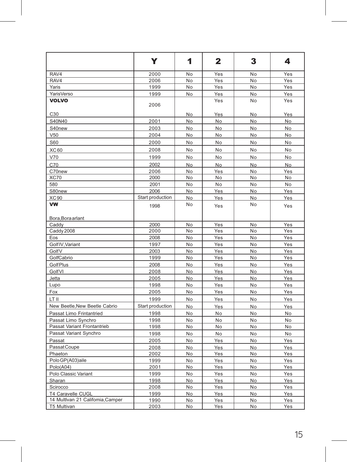|                                  | Y                | 1  | $\mathbf{2}$ | 3  | 4   |
|----------------------------------|------------------|----|--------------|----|-----|
| RAV4                             | 2000             | No | Yes          | No | Yes |
| RAV4                             | 2006             | No | Yes          | No | Yes |
| Yaris                            | 1999             | No | Yes          | No | Yes |
| YarisVerso                       | 1999             | No | Yes          | No | Yes |
| <b>VOLVO</b>                     | 2006             |    | Yes          | No | Yes |
| C30                              |                  | No | Yes          | No | Yes |
| S40N40                           | 2001             | No | No.          | No | No  |
| S40new                           | 2003             | No | No           | No | No  |
| V50                              | 2004             | No | No           | No | No  |
| S60                              | 2000             | No | No           | No | No  |
| XC60                             | 2008             | No | No           | No | No  |
| V70                              | 1999             | No | No           | No | No  |
| C70                              | 2002             | No | <b>No</b>    | No | No  |
| C70new                           | 2006             | No | Yes          | No | Yes |
| <b>XC70</b>                      | 2000             | No | No           | No | No  |
| 580                              | 2001             | No | No           | No | No  |
| S80new                           | 2006             | No | Yes          | No | Yes |
| <b>XC90</b>                      | Start production | No | Yes          | No | Yes |
| VW<br>Bora, Bora arlant          | 1998             | No | Yes          | No | Yes |
| Caddy                            | 2000             | No | Yes          | No | Yes |
| Caddy 2008                       | 2000             | No | Yes          | No | Yes |
| Eos                              | 2008             | No | Yes          | No | Yes |
| Golf IV, Variant                 | 1997             | No | Yes          | No | Yes |
| GolfV                            | 2003             | No | Yes          | No | Yes |
| GolfCabrio                       | 1999             | No | Yes          | No | Yes |
| <b>GolfPlus</b>                  | 2008             | No | Yes          | No | Yes |
| GolfVI                           | 2008             | No | Yes          | No | Yes |
| Jetta                            | 2005             | No | Yes          | No | Yes |
| Lupo                             | 1998             | No | Yes          | No | Yes |
| Fox                              | 2005             | No | Yes          | No | Yes |
| LT II                            | 1999             | No | Yes          | No | Yes |
| New Beetle, New Beetle Cabrio    | Start production | No | Yes          | No | Yes |
| Passat Limo Frintantried         | 1998             | No | No           | No | No  |
| Passat Limo Synchro              | 1998             | No | No           | No | No  |
| Passat Variant Frontantrieb      | 1998             | No | No           | No | No  |
| Passat Variant Synchro           | 1998             | No | No           | No | No  |
| Passat                           | 2005             | No | Yes          | No | Yes |
| Passat Coupe                     | 2008             | No | Yes          | No | Yes |
| Phaeton                          | 2002             | No | Yes          | No | Yes |
| Polo GP(A03)aile                 | 1999             | No | Yes          | No | Yes |
| Polo(A04)                        | 2001             | No | Yes          | No | Yes |
| Polo Classic Variant             | 1999             | No | Yes          | No | Yes |
| Sharan                           | 1998             | No | Yes          | No | Yes |
| Scirocco                         | 2008             | No | Yes          | No | Yes |
| T4 Caravelle CUGL                | 1999             | No | Yes          | No | Yes |
| 14 Multivan 21 Califomia, Camper | 1990             | No | Yes          | No | Yes |
| <b>T5 Multivan</b>               | 2003             | No | Yes          | No | Yes |